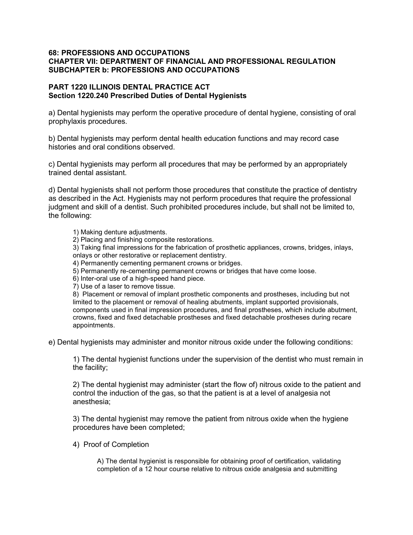## 68: PROFESSIONS AND OCCUPATIONS CHAPTER VII: DEPARTMENT OF FINANCIAL AND PROFESSIONAL REGULATION SUBCHAPTER b: PROFESSIONS AND OCCUPATIONS

## PART 1220 ILLINOIS DENTAL PRACTICE ACT Section 1220.240 Prescribed Duties of Dental Hygienists

a) Dental hygienists may perform the operative procedure of dental hygiene, consisting of oral prophylaxis procedures.

b) Dental hygienists may perform dental health education functions and may record case histories and oral conditions observed.

c) Dental hygienists may perform all procedures that may be performed by an appropriately trained dental assistant.

d) Dental hygienists shall not perform those procedures that constitute the practice of dentistry as described in the Act. Hygienists may not perform procedures that require the professional judgment and skill of a dentist. Such prohibited procedures include, but shall not be limited to, the following:

1) Making denture adjustments.

2) Placing and finishing composite restorations.

3) Taking final impressions for the fabrication of prosthetic appliances, crowns, bridges, inlays, onlays or other restorative or replacement dentistry.

4) Permanently cementing permanent crowns or bridges.

5) Permanently re-cementing permanent crowns or bridges that have come loose.

6) Inter-oral use of a high-speed hand piece.

7) Use of a laser to remove tissue.

8) Placement or removal of implant prosthetic components and prostheses, including but not limited to the placement or removal of healing abutments, implant supported provisionals, components used in final impression procedures, and final prostheses, which include abutment, crowns, fixed and fixed detachable prostheses and fixed detachable prostheses during recare appointments.

e) Dental hygienists may administer and monitor nitrous oxide under the following conditions:

1) The dental hygienist functions under the supervision of the dentist who must remain in the facility;

2) The dental hygienist may administer (start the flow of) nitrous oxide to the patient and control the induction of the gas, so that the patient is at a level of analgesia not anesthesia;

3) The dental hygienist may remove the patient from nitrous oxide when the hygiene procedures have been completed;

4) Proof of Completion

A) The dental hygienist is responsible for obtaining proof of certification, validating completion of a 12 hour course relative to nitrous oxide analgesia and submitting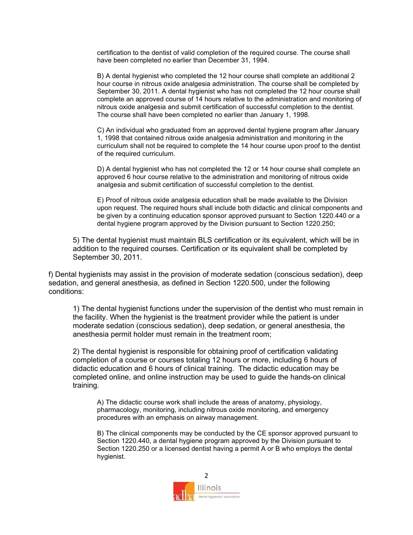certification to the dentist of valid completion of the required course. The course shall have been completed no earlier than December 31, 1994.

B) A dental hygienist who completed the 12 hour course shall complete an additional 2 hour course in nitrous oxide analgesia administration. The course shall be completed by September 30, 2011. A dental hygienist who has not completed the 12 hour course shall complete an approved course of 14 hours relative to the administration and monitoring of nitrous oxide analgesia and submit certification of successful completion to the dentist. The course shall have been completed no earlier than January 1, 1998.

C) An individual who graduated from an approved dental hygiene program after January 1, 1998 that contained nitrous oxide analgesia administration and monitoring in the curriculum shall not be required to complete the 14 hour course upon proof to the dentist of the required curriculum.

D) A dental hygienist who has not completed the 12 or 14 hour course shall complete an approved 6 hour course relative to the administration and monitoring of nitrous oxide analgesia and submit certification of successful completion to the dentist.

E) Proof of nitrous oxide analgesia education shall be made available to the Division upon request. The required hours shall include both didactic and clinical components and be given by a continuing education sponsor approved pursuant to Section 1220.440 or a dental hygiene program approved by the Division pursuant to Section 1220.250;

5) The dental hygienist must maintain BLS certification or its equivalent, which will be in addition to the required courses. Certification or its equivalent shall be completed by September 30, 2011.

f) Dental hygienists may assist in the provision of moderate sedation (conscious sedation), deep sedation, and general anesthesia, as defined in Section 1220.500, under the following conditions:

1) The dental hygienist functions under the supervision of the dentist who must remain in the facility. When the hygienist is the treatment provider while the patient is under moderate sedation (conscious sedation), deep sedation, or general anesthesia, the anesthesia permit holder must remain in the treatment room;

2) The dental hygienist is responsible for obtaining proof of certification validating completion of a course or courses totaling 12 hours or more, including 6 hours of didactic education and 6 hours of clinical training. The didactic education may be completed online, and online instruction may be used to guide the hands-on clinical training.

A) The didactic course work shall include the areas of anatomy, physiology, pharmacology, monitoring, including nitrous oxide monitoring, and emergency procedures with an emphasis on airway management.

B) The clinical components may be conducted by the CE sponsor approved pursuant to Section 1220.440, a dental hygiene program approved by the Division pursuant to Section 1220.250 or a licensed dentist having a permit A or B who employs the dental hygienist.

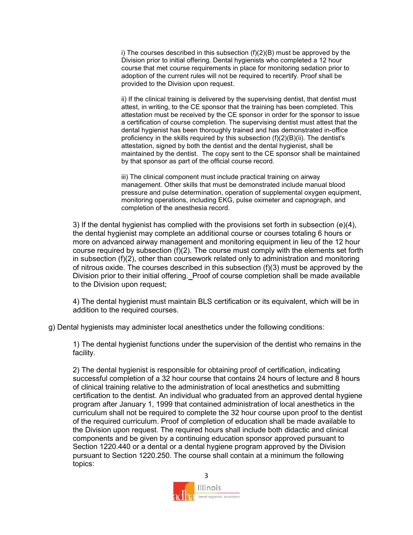i) The courses described in this subsection (f)(2)(B) must be approved by the Division prior to initial offering. Dental hygienists who completed a 12 hour course that met course requirements in place for monitoring sedation prior to adoption of the current rules will not be required to recertify. Proof shall be provided to the Division upon request.

ii) If the clinical training is delivered by the supervising dentist, that dentist must attest, in writing, to the CE sponsor that the training has been completed. This attestation must be received by the CE sponsor in order for the sponsor to issue a certification of course completion. The supervising dentist must attest that the dental hygienist has been thoroughly trained and has demonstrated in-office proficiency in the skills required by this subsection (f)(2)(B)(ii). The dentist's attestation, signed by both the dentist and the dental hygienist, shall be maintained by the dentist. The copy sent to the CE sponsor shall be maintained by that sponsor as part of the official course record.

iii) The clinical component must include practical training on airway management. Other skills that must be demonstrated include manual blood pressure and pulse determination, operation of supplemental oxygen equipment, monitoring operations, including EKG, pulse oximeter and capnograph, and completion of the anesthesia record.

3) If the dental hygienist has complied with the provisions set forth in subsection (e)(4), the dental hygienist may complete an additional course or courses totaling 6 hours or more on advanced airway management and monitoring equipment in lieu of the 12 hour course required by subsection  $(f)(2)$ . The course must comply with the elements set forth in subsection (f)(2), other than coursework related only to administration and monitoring of nitrous oxide. The courses described in this subsection (f)(3) must be approved by the Division prior to their initial offering. Proof of course completion shall be made available to the Division upon request;

4) The dental hygienist must maintain BLS certification or its equivalent, which will be in addition to the required courses.

g) Dental hygienists may administer local anesthetics under the following conditions:

1) The dental hygienist functions under the supervision of the dentist who remains in the facility.

2) The dental hygienist is responsible for obtaining proof of certification, indicating successful completion of a 32 hour course that contains 24 hours of lecture and 8 hours of clinical training relative to the administration of local anesthetics and submitting certification to the dentist. An individual who graduated from an approved dental hygiene program after January 1, 1999 that contained administration of local anesthetics in the curriculum shall not be required to complete the 32 hour course upon proof to the dentist of the required curriculum. Proof of completion of education shall be made available to the Division upon request. The required hours shall include both didactic and clinical components and be given by a continuing education sponsor approved pursuant to Section 1220.440 or a dental or a dental hygiene program approved by the Division pursuant to Section 1220.250. The course shall contain at a minimum the following topics:

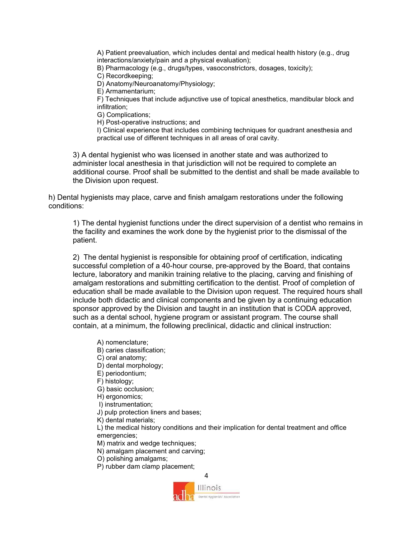A) Patient preevaluation, which includes dental and medical health history (e.g., drug interactions/anxiety/pain and a physical evaluation);

B) Pharmacology (e.g., drugs/types, vasoconstrictors, dosages, toxicity);

C) Recordkeeping;

D) Anatomy/Neuroanatomy/Physiology;

E) Armamentarium;

F) Techniques that include adjunctive use of topical anesthetics, mandibular block and infiltration;

G) Complications;

H) Post-operative instructions; and

I) Clinical experience that includes combining techniques for quadrant anesthesia and practical use of different techniques in all areas of oral cavity.

3) A dental hygienist who was licensed in another state and was authorized to administer local anesthesia in that jurisdiction will not be required to complete an additional course. Proof shall be submitted to the dentist and shall be made available to the Division upon request.

h) Dental hygienists may place, carve and finish amalgam restorations under the following conditions:

1) The dental hygienist functions under the direct supervision of a dentist who remains in the facility and examines the work done by the hygienist prior to the dismissal of the patient.

2) The dental hygienist is responsible for obtaining proof of certification, indicating successful completion of a 40-hour course, pre-approved by the Board, that contains lecture, laboratory and manikin training relative to the placing, carving and finishing of amalgam restorations and submitting certification to the dentist. Proof of completion of education shall be made available to the Division upon request. The required hours shall include both didactic and clinical components and be given by a continuing education sponsor approved by the Division and taught in an institution that is CODA approved, such as a dental school, hygiene program or assistant program. The course shall contain, at a minimum, the following preclinical, didactic and clinical instruction:

A) nomenclature;

- B) caries classification;
- C) oral anatomy;
- D) dental morphology;
- E) periodontium;
- F) histology;
- G) basic occlusion;
- H) ergonomics;
- I) instrumentation;
- J) pulp protection liners and bases;
- K) dental materials;

L) the medical history conditions and their implication for dental treatment and office emergencies;

M) matrix and wedge techniques;

- N) amalgam placement and carving;
- O) polishing amalgams;

P) rubber dam clamp placement;

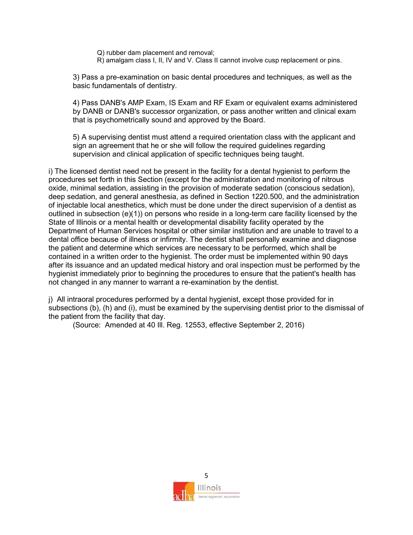Q) rubber dam placement and removal;

R) amalgam class I, II, IV and V. Class II cannot involve cusp replacement or pins.

3) Pass a pre-examination on basic dental procedures and techniques, as well as the basic fundamentals of dentistry.

4) Pass DANB's AMP Exam, IS Exam and RF Exam or equivalent exams administered by DANB or DANB's successor organization, or pass another written and clinical exam that is psychometrically sound and approved by the Board.

5) A supervising dentist must attend a required orientation class with the applicant and sign an agreement that he or she will follow the required guidelines regarding supervision and clinical application of specific techniques being taught.

i) The licensed dentist need not be present in the facility for a dental hygienist to perform the procedures set forth in this Section (except for the administration and monitoring of nitrous oxide, minimal sedation, assisting in the provision of moderate sedation (conscious sedation), deep sedation, and general anesthesia, as defined in Section 1220.500, and the administration of injectable local anesthetics, which must be done under the direct supervision of a dentist as outlined in subsection  $(e)(1)$  on persons who reside in a long-term care facility licensed by the State of Illinois or a mental health or developmental disability facility operated by the Department of Human Services hospital or other similar institution and are unable to travel to a dental office because of illness or infirmity. The dentist shall personally examine and diagnose the patient and determine which services are necessary to be performed, which shall be contained in a written order to the hygienist. The order must be implemented within 90 days after its issuance and an updated medical history and oral inspection must be performed by the hygienist immediately prior to beginning the procedures to ensure that the patient's health has not changed in any manner to warrant a re-examination by the dentist.

j) All intraoral procedures performed by a dental hygienist, except those provided for in subsections (b), (h) and (i), must be examined by the supervising dentist prior to the dismissal of the patient from the facility that day.

(Source: Amended at 40 Ill. Reg. 12553, effective September 2, 2016)